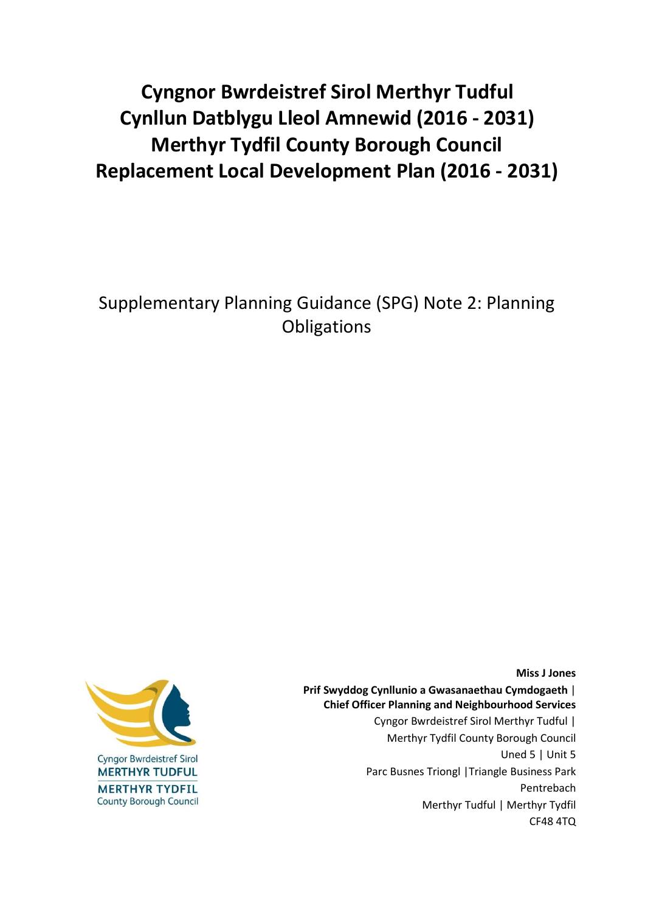# Cyngnor Bwrdeistref Sirol Merthyr Tudful Cynllun Datblygu Lleol Amnewid (2016 - 2031) Merthyr Tydfil County Borough Council Replacement Local Development Plan (2016 - 2031)

 Supplementary Planning Guidance (SPG) Note 2: Planning **Obligations** 



 Miss J Jones Prif Swyddog Cynllunio a Gwasanaethau Cymdogaeth | Chief Officer Planning and Neighbourhood Services Cyngor Bwrdeistref Sirol Merthyr Tudful | Merthyr Tydfil County Borough Council Uned 5 | Unit 5

 Parc Busnes Triongl |Triangle Business Park Merthyr Tudful | Merthyr Tydfil Pentrebach CF48 4TQ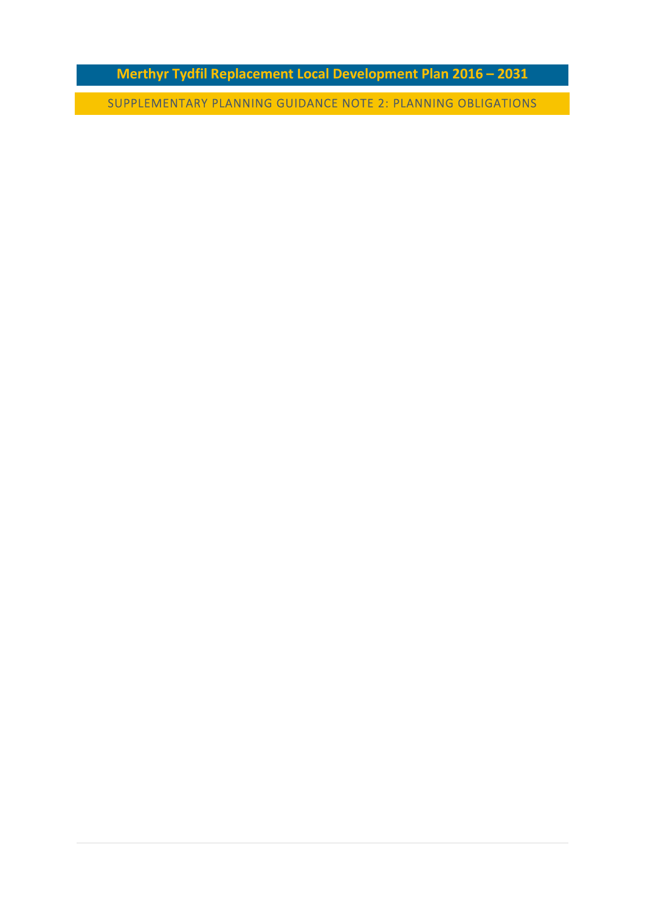SUPPLEMENTARY PLANNING GUIDANCE NOTE 2: PLANNING OBLIGATIONS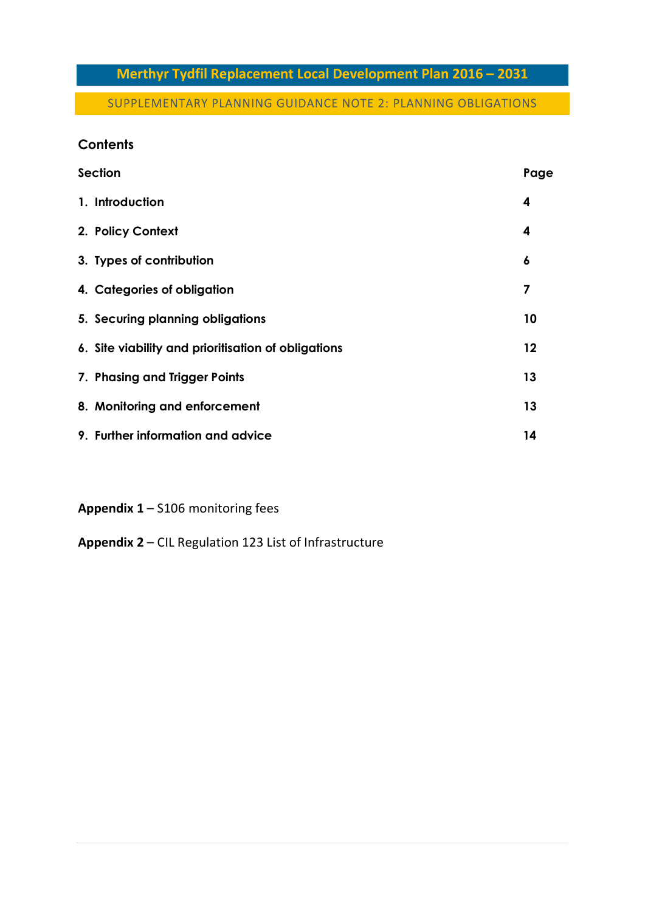# SUPPLEMENTARY PLANNING GUIDANCE NOTE 2: PLANNING OBLIGATIONS

# **Contents**

| <b>Section</b>                                      | Page             |
|-----------------------------------------------------|------------------|
| 1. Introduction                                     | 4                |
| 2. Policy Context                                   | 4                |
| 3. Types of contribution                            | $\boldsymbol{6}$ |
| 4. Categories of obligation                         | 7                |
| 5. Securing planning obligations                    | 10               |
| 6. Site viability and prioritisation of obligations | 12               |
| 7. Phasing and Trigger Points                       | 13               |
| 8. Monitoring and enforcement                       | 13               |
| 9. Further information and advice                   | 14               |

Appendix 1 - S106 monitoring fees

Appendix 2 - CIL Regulation 123 List of Infrastructure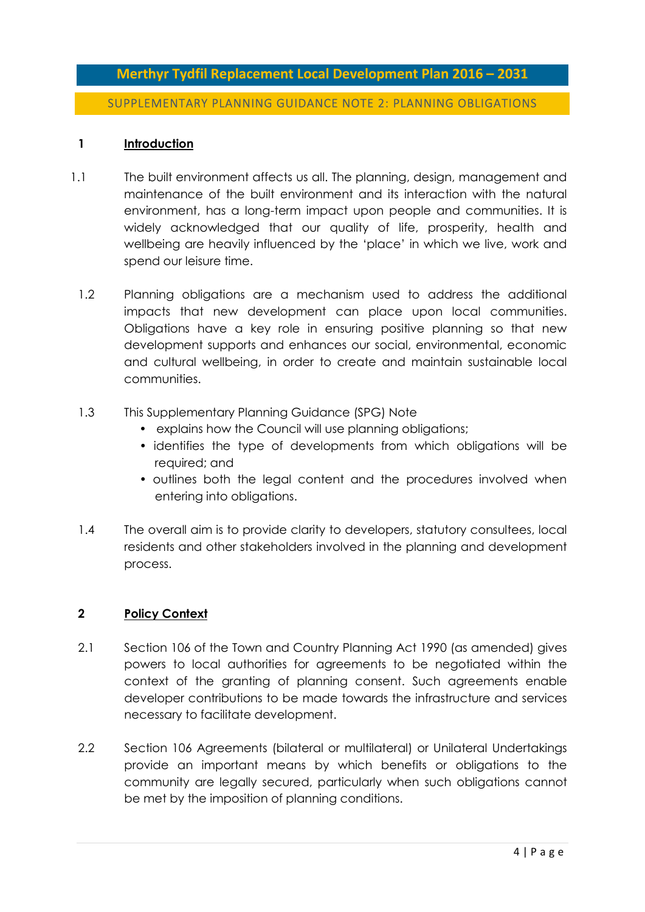# SUPPLEMENTARY PLANNING GUIDANCE NOTE 2: PLANNING OBLIGATIONS

#### 1 Introduction

- $11$  maintenance of the built environment and its interaction with the natural environment, has a long-term impact upon people and communities. It is widely acknowledged that our quality of life, prosperity, health and wellbeing are heavily influenced by the 'place' in which we live, work and spend our leisure time. The built environment affects us all. The planning, design, management and
	- 1.2 Planning obligations are a mechanism used to address the additional impacts that new development can place upon local communities. Obligations have a key role in ensuring positive planning so that new development supports and enhances our social, environmental, economic and cultural wellbeing, in order to create and maintain sustainable local communities.
	- 1.3 This Supplementary Planning Guidance (SPG) Note
		- explains how the Council will use planning obligations;
		- • identifies the type of developments from which obligations will be required; and
		- • outlines both the legal content and the procedures involved when entering into obligations.
	- $1.4$  residents and other stakeholders involved in the planning and development process. The overall aim is to provide clarity to developers, statutory consultees, local

# 2 <u>Policy Context</u>

- 2.1 Section 106 of the Town and Country Planning Act 1990 (as amended) gives powers to local authorities for agreements to be negotiated within the context of the granting of planning consent. Such agreements enable developer contributions to be made towards the infrastructure and services necessary to facilitate development.
- 2.2 Section 106 Agreements (bilateral or multilateral) or Unilateral Undertakings provide an important means by which benefits or obligations to the community are legally secured, particularly when such obligations cannot be met by the imposition of planning conditions.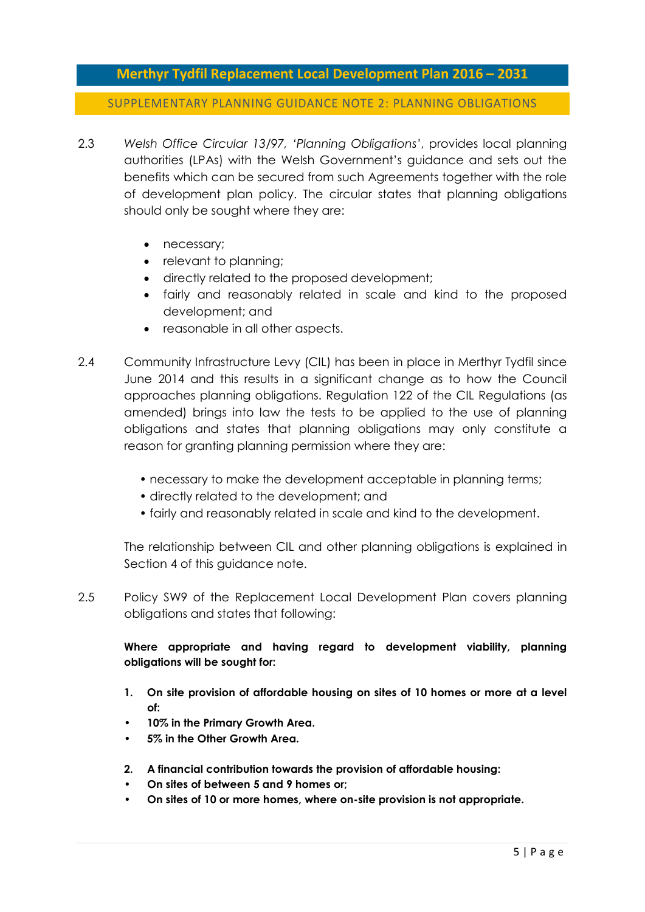SUPPLEMENTARY PLANNING GUIDANCE NOTE 2: PLANNING OBLIGATIONS

- 2.3 Welsh Office Circular 13/97, 'Planning Obligations', provides local planning authorities (LPAs) with the Welsh Government's guidance and sets out the benefits which can be secured from such Agreements together with the role of development plan policy. The circular states that planning obligations should only be sought where they are:
	- necessary;
	- relevant to planning;
	- directly related to the proposed development;
	- fairly and reasonably related in scale and kind to the proposed development; and
	- reasonable in all other aspects.
- 2.4 Community Infrastructure Levy (CIL) has been in place in Merthyr Tydfil since June 2014 and this results in a significant change as to how the Council approaches planning obligations. Regulation 122 of the CIL Regulations (as amended) brings into law the tests to be applied to the use of planning obligations and states that planning obligations may only constitute a reason for granting planning permission where they are:
	- necessary to make the development acceptable in planning terms;
	- directly related to the development; and
	- fairly and reasonably related in scale and kind to the development.

 The relationship between CIL and other planning obligations is explained in Section 4 of this guidance note.

 2.5 Policy SW9 of the Replacement Local Development Plan covers planning obligations and states that following:

### Where appropriate and having regard to development viability, planning obligations will be sought for:

- 1. On site provision of affordable housing on sites of 10 homes or more at a level of:
- 10% in the Primary Growth Area.
- 5% in the Other Growth Area.
- 2. A financial contribution towards the provision of affordable housing:
- On sites of between 5 and 9 homes or;
- On sites of 10 or more homes, where on-site provision is not appropriate.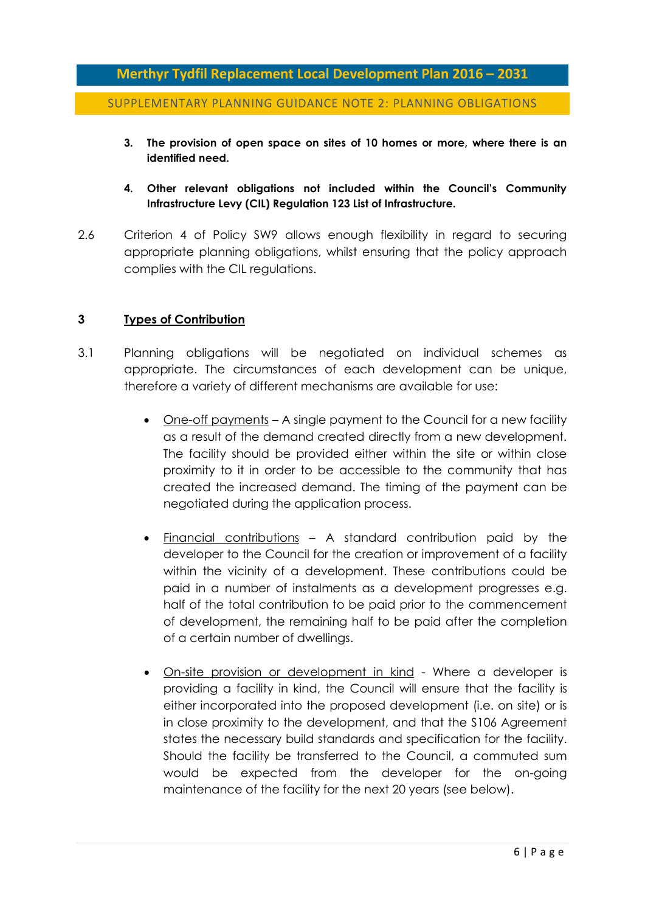SUPPLEMENTARY PLANNING GUIDANCE NOTE 2: PLANNING OBLIGATIONS

- 3. The provision of open space on sites of 10 homes or more, where there is an identified need.
- 4. Other relevant obligations not included within the Council's Community Infrastructure Levy (CIL) Regulation 123 List of Infrastructure.
- 2.6 Criterion 4 of Policy SW9 allows enough flexibility in regard to securing appropriate planning obligations, whilst ensuring that the policy approach complies with the CIL regulations.

#### 3 Types of Contribution

- 3.1 Planning obligations will be negotiated on individual schemes as appropriate. The circumstances of each development can be unique, therefore a variety of different mechanisms are available for use:
	- One-off payments A single payment to the Council for a new facility as a result of the demand created directly from a new development. The facility should be provided either within the site or within close proximity to it in order to be accessible to the community that has created the increased demand. The timing of the payment can be negotiated during the application process.
	- Financial contributions A standard contribution paid by the developer to the Council for the creation or improvement of a facility within the vicinity of a development. These contributions could be paid in a number of instalments as a development progresses e.g. half of the total contribution to be paid prior to the commencement of development, the remaining half to be paid after the completion of a certain number of dwellings.
	- On-site provision or development in kind Where a developer is providing a facility in kind, the Council will ensure that the facility is either incorporated into the proposed development (i.e. on site) or is in close proximity to the development, and that the S106 Agreement states the necessary build standards and specification for the facility. Should the facility be transferred to the Council, a commuted sum would be expected from the developer for the on-going maintenance of the facility for the next 20 years (see below).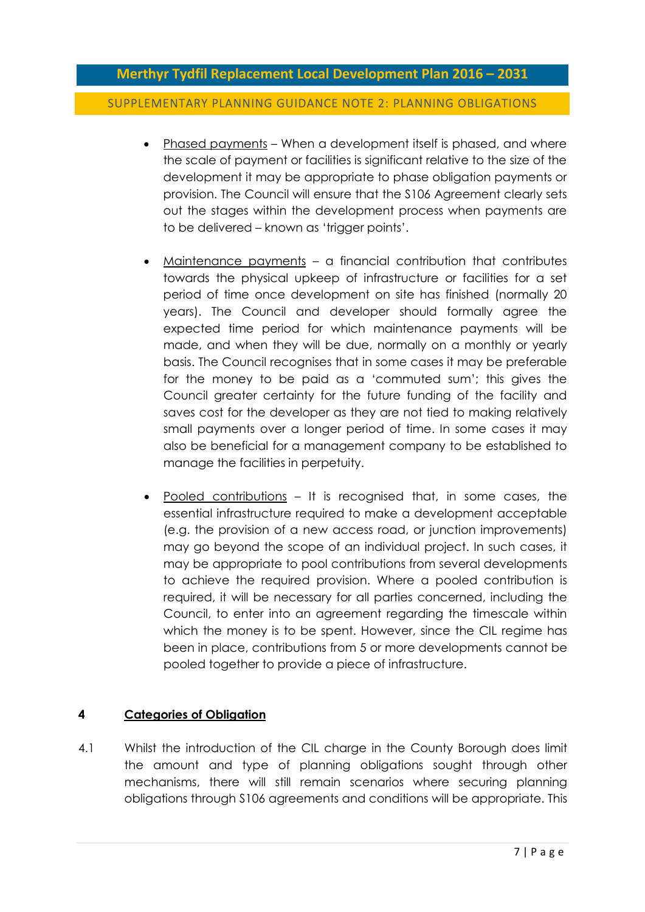#### SUPPLEMENTARY PLANNING GUIDANCE NOTE 2: PLANNING OBLIGATIONS

- Phased payments When a development itself is phased, and where the scale of payment or facilities is significant relative to the size of the development it may be appropriate to phase obligation payments or provision. The Council will ensure that the S106 Agreement clearly sets out the stages within the development process when payments are to be delivered – known as 'trigger points'.
- Maintenance payments a financial contribution that contributes towards the physical upkeep of infrastructure or facilities for a set period of time once development on site has finished (normally 20 years). The Council and developer should formally agree the expected time period for which maintenance payments will be made, and when they will be due, normally on a monthly or yearly basis. The Council recognises that in some cases it may be preferable for the money to be paid as a 'commuted sum'; this gives the Council greater certainty for the future funding of the facility and saves cost for the developer as they are not tied to making relatively small payments over a longer period of time. In some cases it may also be beneficial for a management company to be established to manage the facilities in perpetuity.
- Pooled contributions It is recognised that, in some cases, the essential infrastructure required to make a development acceptable (e.g. the provision of a new access road, or junction improvements) may go beyond the scope of an individual project. In such cases, it may be appropriate to pool contributions from several developments to achieve the required provision. Where a pooled contribution is required, it will be necessary for all parties concerned, including the Council, to enter into an agreement regarding the timescale within which the money is to be spent. However, since the CIL regime has been in place, contributions from 5 or more developments cannot be pooled together to provide a piece of infrastructure.

#### Categories of Obligation 4

 $4.1$  the amount and type of planning obligations sought through other mechanisms, there will still remain scenarios where securing planning obligations through S106 agreements and conditions will be appropriate. This 4.1 Whilst the introduction of the CIL charge in the County Borough does limit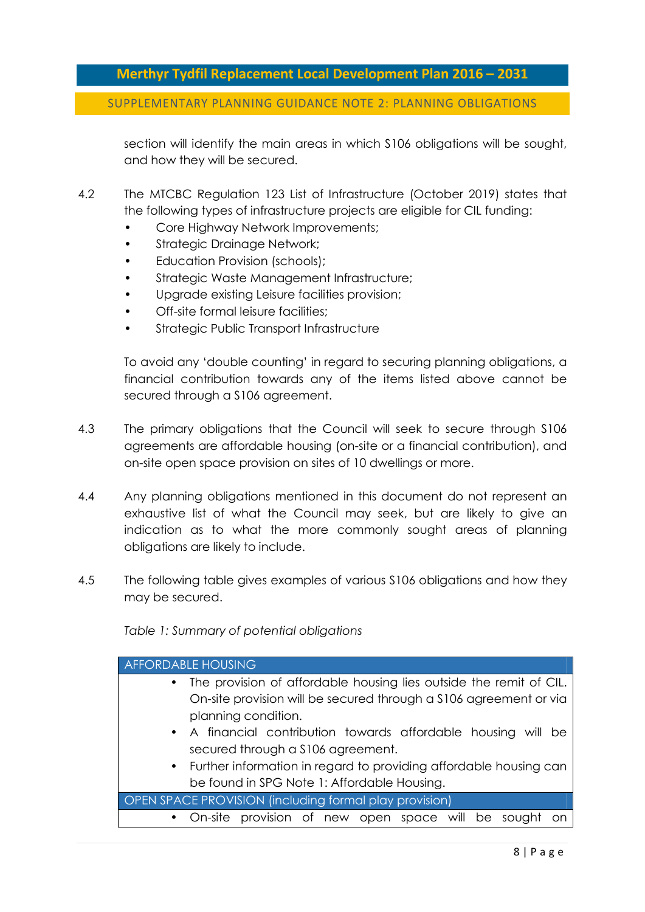SUPPLEMENTARY PLANNING GUIDANCE NOTE 2: PLANNING OBLIGATIONS

 section will identify the main areas in which S106 obligations will be sought, and how they will be secured.

- 4.2 the following types of infrastructure projects are eligible for CIL funding: 4.2 The MTCBC Regulation 123 List of Infrastructure (October 2019) states that
	- Core Highway Network Improvements;
	- Strategic Drainage Network;
	- Education Provision (schools);
	- Strategic Waste Management Infrastructure;
	- Upgrade existing Leisure facilities provision;
	- Off-site formal leisure facilities;
	- Strategic Public Transport Infrastructure

 To avoid any 'double counting' in regard to securing planning obligations, a financial contribution towards any of the items listed above cannot be secured through a S106 agreement.

- 4.3 agreements are affordable housing (on-site or a financial contribution), and on-site open space provision on sites of 10 dwellings or more. The primary obligations that the Council will seek to secure through S106
- $4.4$  exhaustive list of what the Council may seek, but are likely to give an indication as to what the more commonly sought areas of planning obligations are likely to include. Any planning obligations mentioned in this document do not represent an
- $4.5$  may be secured. The following table gives examples of various \$106 obligations and how they

Table 1: Summary of potential obligations

| <b>AFFORDABLE HOUSING</b>                                            |
|----------------------------------------------------------------------|
| • The provision of affordable housing lies outside the remit of CIL. |
| On-site provision will be secured through a \$106 agreement or via   |
| planning condition.                                                  |
| • A financial contribution towards affordable housing will be        |
| secured through a \$106 agreement.                                   |
| • Further information in regard to providing affordable housing can  |
| be found in SPG Note 1: Affordable Housing.                          |
| OPEN SPACE PROVISION (including formal play provision)               |
| • On-site provision of new open space will be sought                 |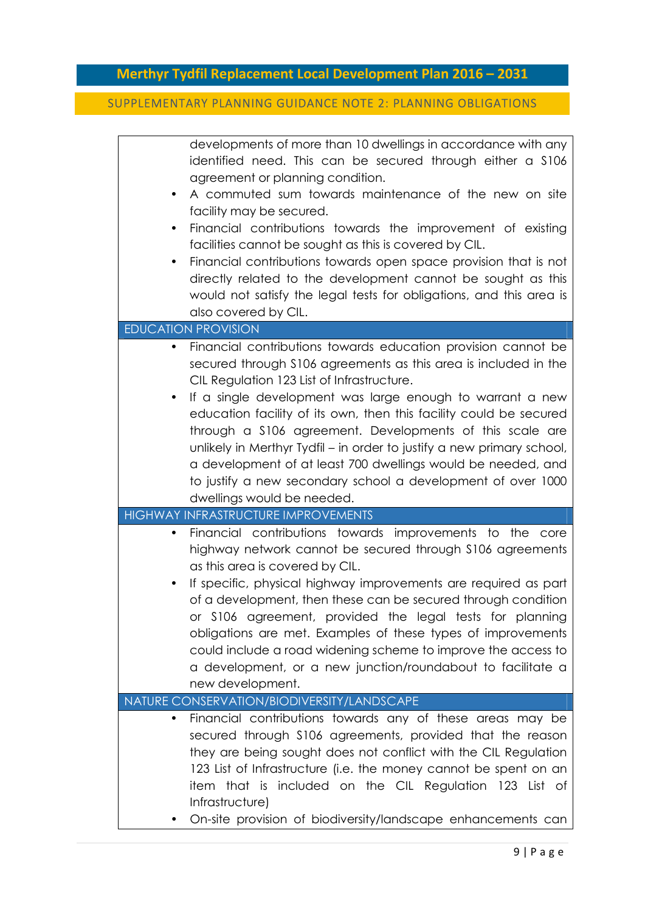### SUPPLEMENTARY PLANNING GUIDANCE NOTE 2: PLANNING OBLIGATIONS

| $\bullet$<br>٠             | developments of more than 10 dwellings in accordance with any<br>identified need. This can be secured through either a \$106<br>agreement or planning condition.<br>A commuted sum towards maintenance of the new on site<br>facility may be secured.<br>Financial contributions towards the improvement of existing                                                                                                                                                                                                                                                              |
|----------------------------|-----------------------------------------------------------------------------------------------------------------------------------------------------------------------------------------------------------------------------------------------------------------------------------------------------------------------------------------------------------------------------------------------------------------------------------------------------------------------------------------------------------------------------------------------------------------------------------|
| $\bullet$                  | facilities cannot be sought as this is covered by CIL.<br>Financial contributions towards open space provision that is not<br>directly related to the development cannot be sought as this<br>would not satisfy the legal tests for obligations, and this area is<br>also covered by CIL.                                                                                                                                                                                                                                                                                         |
| <b>EDUCATION PROVISION</b> |                                                                                                                                                                                                                                                                                                                                                                                                                                                                                                                                                                                   |
| $\bullet$                  | Financial contributions towards education provision cannot be<br>secured through \$106 agreements as this area is included in the<br>CIL Regulation 123 List of Infrastructure.                                                                                                                                                                                                                                                                                                                                                                                                   |
| $\bullet$                  | If a single development was large enough to warrant a new<br>education facility of its own, then this facility could be secured<br>through a \$106 agreement. Developments of this scale are<br>unlikely in Merthyr Tydfil – in order to justify a new primary school,<br>a development of at least 700 dwellings would be needed, and<br>to justify a new secondary school a development of over 1000<br>dwellings would be needed.                                                                                                                                              |
|                            | <b>HIGHWAY INFRASTRUCTURE IMPROVEMENTS</b>                                                                                                                                                                                                                                                                                                                                                                                                                                                                                                                                        |
| $\bullet$<br>٠             | Financial contributions towards improvements to the<br>core<br>highway network cannot be secured through \$106 agreements<br>as this area is covered by CIL.<br>If specific, physical highway improvements are required as part<br>of a development, then these can be secured through condition<br>or \$106 agreement, provided the legal tests for planning<br>obligations are met. Examples of these types of improvements<br>could include a road widening scheme to improve the access to<br>a development, or a new junction/roundabout to facilitate a<br>new development. |
|                            | NATURE CONSERVATION/BIODIVERSITY/LANDSCAPE                                                                                                                                                                                                                                                                                                                                                                                                                                                                                                                                        |
| ٠                          | Financial contributions towards any of these areas may be<br>secured through \$106 agreements, provided that the reason<br>they are being sought does not conflict with the CIL Regulation<br>123 List of Infrastructure (i.e. the money cannot be spent on an<br>item that is included on the CIL Regulation 123 List of<br>Infrastructure)<br>On-site provision of biodiversity/landscape enhancements can                                                                                                                                                                      |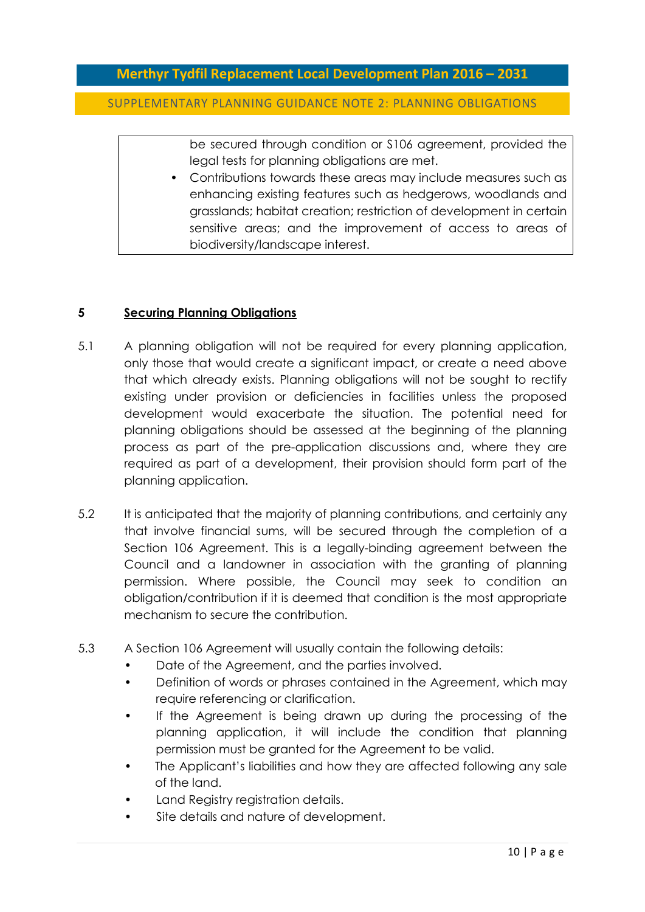SUPPLEMENTARY PLANNING GUIDANCE NOTE 2: PLANNING OBLIGATIONS

 be secured through condition or S106 agreement, provided the legal tests for planning obligations are met.

 • Contributions towards these areas may include measures such as enhancing existing features such as hedgerows, woodlands and grasslands; habitat creation; restriction of development in certain sensitive areas; and the improvement of access to areas of biodiversity/landscape interest.

# 5 Securing Planning Obligations

- 5.1 A planning obligation will not be required for every planning application, only those that would create a significant impact, or create a need above that which already exists. Planning obligations will not be sought to rectify existing under provision or deficiencies in facilities unless the proposed development would exacerbate the situation. The potential need for planning obligations should be assessed at the beginning of the planning process as part of the pre-application discussions and, where they are required as part of a development, their provision should form part of the planning application.
- 5.2 that involve financial sums, will be secured through the completion of a Section 106 Agreement. This is a legally-binding agreement between the Council and a landowner in association with the granting of planning permission. Where possible, the Council may seek to condition an obligation/contribution if it is deemed that condition is the most appropriate mechanism to secure the contribution. It is anticipated that the majority of planning contributions, and certainly any
- 5.3 5.3 A Section 106 Agreement will usually contain the following details:
	- Date of the Agreement, and the parties involved.
	- $\bullet$  require referencing or clarification. • Definition of words or phrases contained in the Agreement, which may
	- planning application, it will include the condition that planning permission must be granted for the Agreement to be valid. If the Agreement is being drawn up during the processing of the
	- • The Applicant's liabilities and how they are affected following any sale of the land.
	- Land Registry registration details.
	- Site details and nature of development.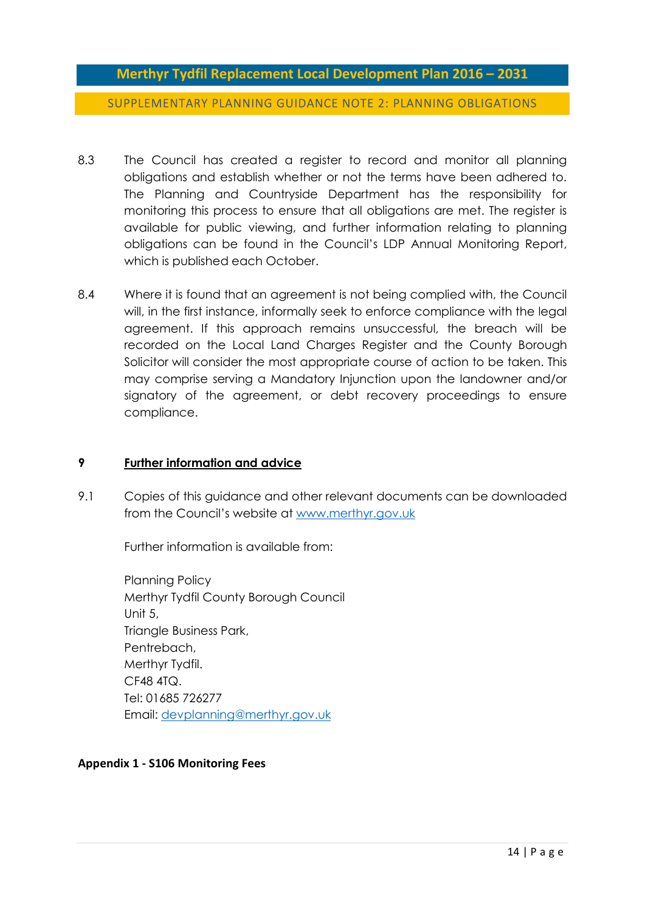SUPPLEMENTARY PLANNING GUIDANCE NOTE 2: PLANNING OBLIGATIONS

- 8.3 obligations and establish whether or not the terms have been adhered to. The Planning and Countryside Department has the responsibility for monitoring this process to ensure that all obligations are met. The register is available for public viewing, and further information relating to planning obligations can be found in the Council's LDP Annual Monitoring Report, which is published each October. The Council has created a register to record and monitor all planning
- 8.4 Where it is found that an agreement is not being complied with, the Council will, in the first instance, informally seek to enforce compliance with the legal agreement. If this approach remains unsuccessful, the breach will be recorded on the Local Land Charges Register and the County Borough Solicitor will consider the most appropriate course of action to be taken. This may comprise serving a Mandatory Injunction upon the landowner and/or signatory of the agreement, or debt recovery proceedings to ensure compliance.

#### 9 Further information and advice

 9.1 Copies of this guidance and other relevant documents can be downloaded from the Council's website at <www.merthyr.gov.uk>

Further information is available from:

 Planning Policy Merthyr Tydfil County Borough Council Unit 5, Triangle Business Park, Merthyr Tydfil. CF48 4TQ. Tel: 01685 726277 Pentrebach, Email: devplanning@merthyr.gov.uk

#### Appendix 1 - S106 Monitoring Fees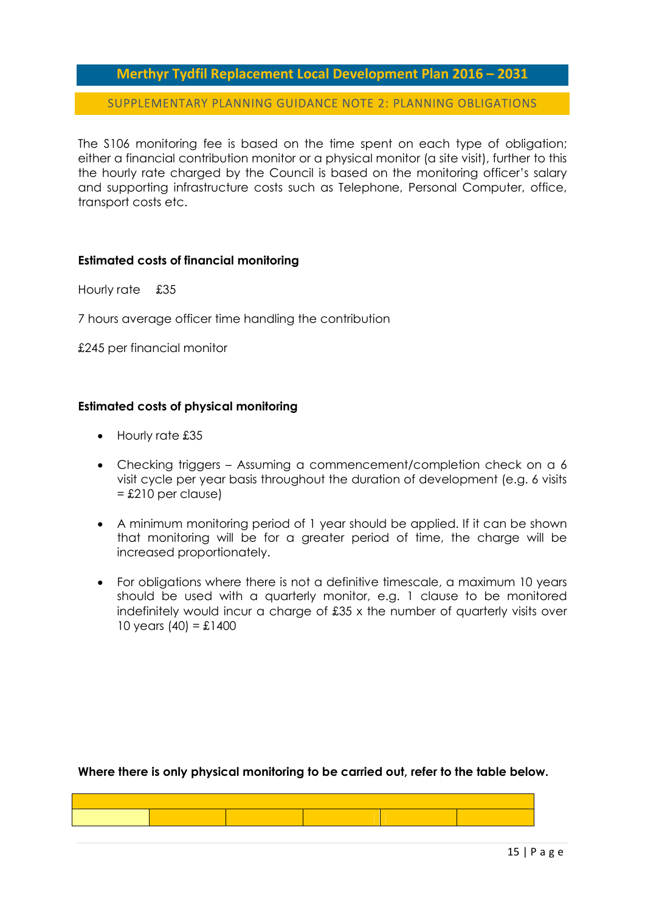SUPPLEMENTARY PLANNING GUIDANCE NOTE 2: PLANNING OBLIGATIONS

The S106 monitoring fee is based on the time spent on each type of obligation; either a financial contribution monitor or a physical monitor (a site visit), further to this the hourly rate charged by the Council is based on the monitoring officer's salary and supporting infrastructure costs such as Telephone, Personal Computer, office, transport costs etc.

#### Estimated costs of financial monitoring

Hourly rate £35

7 hours average officer time handling the contribution

£245 per financial monitor

#### Estimated costs of physical monitoring

- Hourly rate £35
- Checking triggers Assuming a commencement/completion check on a 6 visit cycle per year basis throughout the duration of development (e.g. 6 visits = £210 per clause)
- A minimum monitoring period of 1 year should be applied. If it can be shown that monitoring will be for a greater period of time, the charge will be increased proportionately.
- For obligations where there is not a definitive timescale, a maximum 10 years should be used with a quarterly monitor, e.g. 1 clause to be monitored indefinitely would incur a charge of £35 x the number of quarterly visits over 10 years  $(40) = £1400$

#### Where there is only physical monitoring to be carried out, refer to the table below.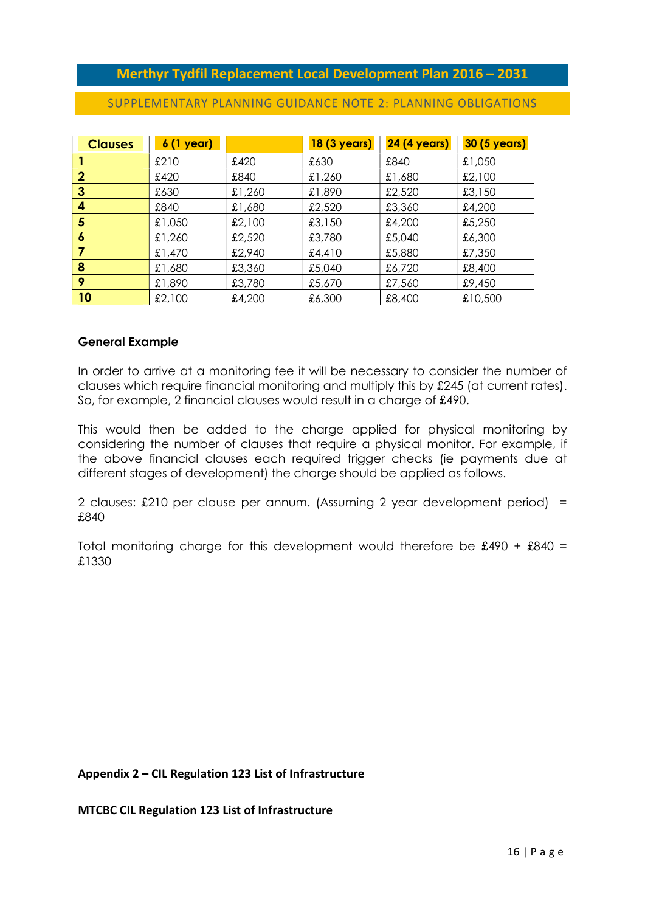### SUPPLEMENTARY PLANNING GUIDANCE NOTE 2: PLANNING OBLIGATIONS

| <b>Clauses</b> | $6(1 \text{ year})$ |        | <b>18 (3 years)</b> | <b>24 (4 years)</b> | <b>30 (5 years)</b> |
|----------------|---------------------|--------|---------------------|---------------------|---------------------|
|                | £210                | £420   | £630                | £840                | £1,050              |
| 2              | £420                | £840   | £1,260              | £1,680              | £2,100              |
| 3              | £630                | £1,260 | £1,890              | £2,520              | £3,150              |
| 4              | £840                | £1,680 | £2,520              | £3,360              | £4,200              |
| 5              | £1,050              | £2,100 | £3,150              | £4,200              | £5,250              |
| 6              | £1,260              | £2,520 | £3,780              | £5,040              | £6,300              |
|                | £1,470              | £2,940 | £4,410              | £5,880              | £7,350              |
| 8              | £1,680              | £3,360 | £5,040              | £6,720              | £8,400              |
| 9              | £1,890              | £3,780 | £5,670              | £7,560              | £9,450              |
| 10             | £2,100              | £4,200 | £6,300              | £8,400              | £10,500             |

#### General Example

 In order to arrive at a monitoring fee it will be necessary to consider the number of clauses which require financial monitoring and multiply this by £245 (at current rates). So, for example, 2 financial clauses would result in a charge of £490.

 This would then be added to the charge applied for physical monitoring by considering the number of clauses that require a physical monitor. For example, if the above financial clauses each required trigger checks (ie payments due at different stages of development) the charge should be applied as follows.

 2 clauses: £210 per clause per annum. (Assuming 2 year development period) = £840

 Total monitoring charge for this development would therefore be £490 + £840 = £1330

#### Appendix 2 – CIL Regulation 123 List of Infrastructure

MTCBC CIL Regulation 123 List of Infrastructure